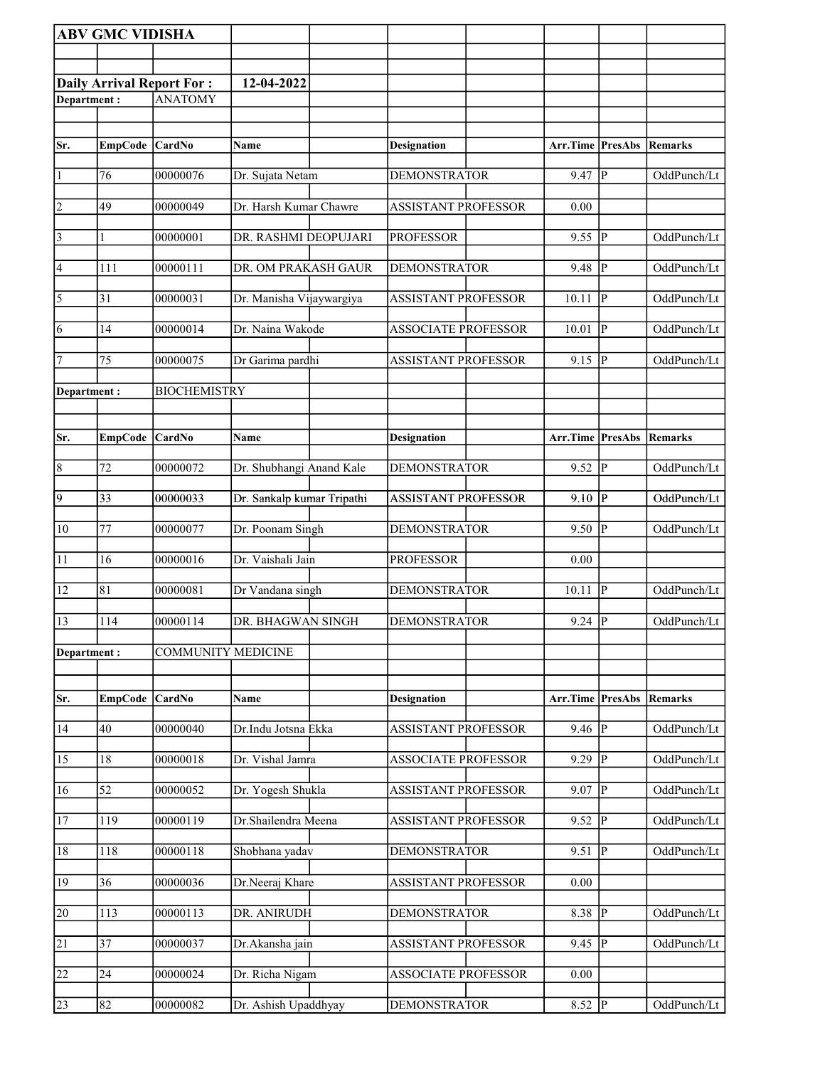|                         | <b>ABV GMC VIDISHA</b> |                                  |                            |                            |                  |                |             |
|-------------------------|------------------------|----------------------------------|----------------------------|----------------------------|------------------|----------------|-------------|
|                         |                        |                                  |                            |                            |                  |                |             |
|                         |                        | <b>Daily Arrival Report For:</b> | 12-04-2022                 |                            |                  |                |             |
| Department:             |                        | <b>ANATOMY</b>                   |                            |                            |                  |                |             |
|                         |                        |                                  |                            |                            |                  |                |             |
| Sr.                     | EmpCode                | CardNo                           | Name                       | <b>Designation</b>         | Arr.Time PresAbs |                | Remarks     |
| $\vert$ 1               | 76                     | 00000076                         | Dr. Sujata Netam           | <b>DEMONSTRATOR</b>        | 9.47             | $\overline{P}$ | OddPunch/Lt |
| 2                       | 49                     | 00000049                         | Dr. Harsh Kumar Chawre     | <b>ASSISTANT PROFESSOR</b> | 0.00             |                |             |
| $\overline{\mathbf{3}}$ |                        | 00000001                         | DR. RASHMI DEOPUJARI       | <b>PROFESSOR</b>           | 9.55             | $\mathbf{P}$   | OddPunch/Lt |
| $\vert 4 \vert$         | 111                    | 00000111                         | DR. OM PRAKASH GAUR        | <b>DEMONSTRATOR</b>        | 9.48             | P              | OddPunch/Lt |
| $\vert$ 5               | 31                     | 00000031                         | Dr. Manisha Vijaywargiya   | <b>ASSISTANT PROFESSOR</b> | 10.11            | P              | OddPunch/Lt |
| 6                       | 14                     | 00000014                         | Dr. Naina Wakode           | <b>ASSOCIATE PROFESSOR</b> | 10.01            | P              | OddPunch/Lt |
| 7                       | 75                     | 00000075                         | Dr Garima pardhi           | <b>ASSISTANT PROFESSOR</b> | 9.15             | P              | OddPunch/Lt |
| Department:             |                        | <b>BIOCHEMISTRY</b>              |                            |                            |                  |                |             |
|                         |                        |                                  |                            |                            |                  |                |             |
| Sr.                     | <b>EmpCode</b>         | CardNo                           | <b>Name</b>                | <b>Designation</b>         | Arr.Time         | <b>PresAbs</b> | Remarks     |
| $\vert 8$               | 72                     | 00000072                         | Dr. Shubhangi Anand Kale   | <b>DEMONSTRATOR</b>        | 9.52             | $\mathbf{P}$   | OddPunch/Lt |
| 9                       | 33                     | 00000033                         | Dr. Sankalp kumar Tripathi | <b>ASSISTANT PROFESSOR</b> | 9.10             | $\mathbf{P}$   | OddPunch/Lt |
| 10                      | 77                     | 00000077                         | Dr. Poonam Singh           | <b>DEMONSTRATOR</b>        | 9.50             | $\mathbf{P}$   | OddPunch/Lt |
| 11                      | 16                     | 00000016                         | Dr. Vaishali Jain          | <b>PROFESSOR</b>           | 0.00             |                |             |
| 12                      | 81                     | 00000081                         | Dr Vandana singh           | <b>DEMONSTRATOR</b>        | 10.11            | $\mathbf{P}$   | OddPunch/Lt |
| 13                      | 114                    | 00000114                         | DR. BHAGWAN SINGH          | <b>DEMONSTRATOR</b>        | $9.24$ P         |                | OddPunch/Lt |
| Department:             |                        | <b>COMMUNITY MEDICINE</b>        |                            |                            |                  |                |             |
|                         |                        |                                  |                            |                            |                  |                |             |
| Sr.                     | <b>EmpCode</b>         | CardNo                           | Name                       | <b>Designation</b>         | Arr.Time         | PresAbs        | Remarks     |
| 14                      | 40                     | 00000040                         | Dr.Indu Jotsna Ekka        | <b>ASSISTANT PROFESSOR</b> | 9.46             | P              | OddPunch/Lt |
| 15                      | 18                     | 00000018                         | Dr. Vishal Jamra           | <b>ASSOCIATE PROFESSOR</b> | 9.29             | P              | OddPunch/Lt |
| 16                      | $\overline{52}$        | 00000052                         | Dr. Yogesh Shukla          | <b>ASSISTANT PROFESSOR</b> | 9.07             | P              | OddPunch/Lt |
| 17                      | 119                    | 00000119                         | Dr.Shailendra Meena        | <b>ASSISTANT PROFESSOR</b> | 9.52             | $\mathbf{P}$   | OddPunch/Lt |
| 18                      | 118                    | 00000118                         | Shobhana yadav             | <b>DEMONSTRATOR</b>        | 9.51             | P              | OddPunch/Lt |
| 19                      | 36                     | 00000036                         | Dr.Neeraj Khare            | <b>ASSISTANT PROFESSOR</b> | 0.00             |                |             |
| 20                      | 113                    | 00000113                         | DR. ANIRUDH                | <b>DEMONSTRATOR</b>        | 8.38             | $\mathbf{P}$   | OddPunch/Lt |
| 21                      | $\overline{37}$        | 00000037                         | Dr.Akansha jain            | <b>ASSISTANT PROFESSOR</b> | 9.45             | P              | OddPunch/Lt |
| 22                      | 24                     | 00000024                         | Dr. Richa Nigam            | <b>ASSOCIATE PROFESSOR</b> | 0.00             |                |             |
| 23                      | 82                     | 00000082                         | Dr. Ashish Upaddhyay       | <b>DEMONSTRATOR</b>        | $8.52$ P         |                | OddPunch/Lt |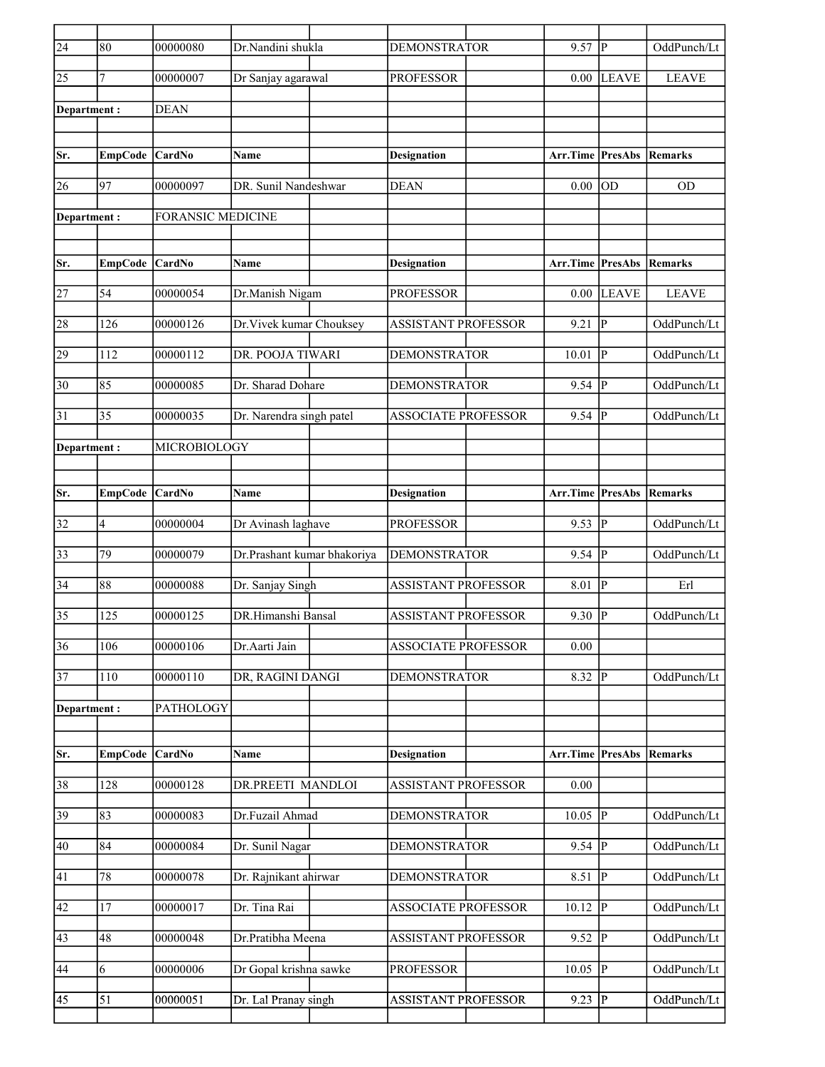| $\overline{24}$ | 80                      | 00000080                 | Dr.Nandini shukla           | <b>DEMONSTRATOR</b>        | 9.57                    | P              | OddPunch/Lt            |
|-----------------|-------------------------|--------------------------|-----------------------------|----------------------------|-------------------------|----------------|------------------------|
| 25              | 7                       | 00000007                 | Dr Sanjay agarawal          | <b>PROFESSOR</b>           | 0.00                    | <b>LEAVE</b>   | <b>LEAVE</b>           |
| Department:     |                         | <b>DEAN</b>              |                             |                            |                         |                |                        |
|                 |                         |                          |                             |                            |                         |                |                        |
| Sr.             | EmpCode                 | CardNo                   | Name                        | <b>Designation</b>         | <b>Arr.Time PresAbs</b> |                | Remarks                |
| 26              | 97                      | 00000097                 | DR. Sunil Nandeshwar        | <b>DEAN</b>                | 0.00                    | OD             | <b>OD</b>              |
| Department:     |                         | <b>FORANSIC MEDICINE</b> |                             |                            |                         |                |                        |
|                 |                         |                          |                             |                            |                         |                |                        |
| Sr.             | EmpCode CardNo          |                          | <b>Name</b>                 | <b>Designation</b>         | Arr.Time PresAbs        |                | Remarks                |
| 27              | 54                      | 00000054                 | Dr.Manish Nigam             | <b>PROFESSOR</b>           | 0.00                    | <b>LEAVE</b>   | <b>LEAVE</b>           |
| 28              | 126                     | 00000126                 | Dr. Vivek kumar Chouksey    | <b>ASSISTANT PROFESSOR</b> | 9.21                    | $\overline{P}$ | OddPunch/Lt            |
| 29              | 112                     | 00000112                 | DR. POOJA TIWARI            | <b>DEMONSTRATOR</b>        | 10.01                   | P              | OddPunch/Lt            |
| 30              | 85                      | 00000085                 | Dr. Sharad Dohare           | <b>DEMONSTRATOR</b>        | 9.54                    | IР             | OddPunch/Lt            |
| 31              | 35                      | 00000035                 | Dr. Narendra singh patel    | <b>ASSOCIATE PROFESSOR</b> | 9.54                    | p              | OddPunch/Lt            |
| Department:     |                         | MICROBIOLOGY             |                             |                            |                         |                |                        |
|                 |                         |                          |                             |                            |                         |                |                        |
| Sr.             | EmpCode CardNo          |                          | Name                        | <b>Designation</b>         | Arr.Time                |                | <b>PresAbs Remarks</b> |
| 32              | $\overline{\mathbf{4}}$ | 00000004                 | Dr Avinash laghave          | <b>PROFESSOR</b>           | 9.53                    | P              | OddPunch/Lt            |
| 33              | 79                      | 00000079                 | Dr.Prashant kumar bhakoriya | <b>DEMONSTRATOR</b>        | 9.54                    | IР             | OddPunch/Lt            |
| 34              | 88                      | 00000088                 | Dr. Sanjay Singh            | <b>ASSISTANT PROFESSOR</b> | 8.01                    | P              | Erl                    |
| 35              | 125                     | 00000125                 | DR.Himanshi Bansal          | <b>ASSISTANT PROFESSOR</b> | 9.30                    | P              | OddPunch/Lt            |
| $\overline{36}$ | 106                     | 00000106                 | Dr.Aarti Jain               | <b>ASSOCIATE PROFESSOR</b> | 0.00                    |                |                        |
| $\overline{37}$ | 110                     | 00000110                 | DR, RAGINI DANGI            | <b>DEMONSTRATOR</b>        | 8.32                    | P              | OddPunch/Lt            |
| Department:     |                         | <b>PATHOLOGY</b>         |                             |                            |                         |                |                        |
|                 |                         |                          |                             |                            |                         |                |                        |
| Sr.             | <b>EmpCode</b>          | CardNo                   | Name                        | <b>Designation</b>         | Arr.Time                | PresAbs        | <b>Remarks</b>         |
| 38              | 128                     | 00000128                 | DR.PREETI MANDLOI           | ASSISTANT PROFESSOR        | $0.00\,$                |                |                        |
| 39              | 83                      | 00000083                 | Dr.Fuzail Ahmad             | <b>DEMONSTRATOR</b>        | 10.05                   | P              | OddPunch/Lt            |
| 40              | 84                      | 00000084                 | Dr. Sunil Nagar             | <b>DEMONSTRATOR</b>        | $9.54$ P                |                | OddPunch/Lt            |
| 41              | 78                      | 00000078                 | Dr. Rajnikant ahirwar       | <b>DEMONSTRATOR</b>        | 8.51                    | $ {\bf P} $    | OddPunch/Lt            |
| 42              | 17                      | 00000017                 | Dr. Tina Rai                | <b>ASSOCIATE PROFESSOR</b> | 10.12                   | ∣P             | OddPunch/Lt            |
| 43              | 48                      | 00000048                 | Dr.Pratibha Meena           | ASSISTANT PROFESSOR        | 9.52                    | ∣P             | OddPunch/Lt            |
| 44              | 6                       | 00000006                 | Dr Gopal krishna sawke      | <b>PROFESSOR</b>           | 10.05                   | P              | OddPunch/Lt            |
| 45              | 51                      | 00000051                 | Dr. Lal Pranay singh        | <b>ASSISTANT PROFESSOR</b> | 9.23                    | P              | OddPunch/Lt            |
|                 |                         |                          |                             |                            |                         |                |                        |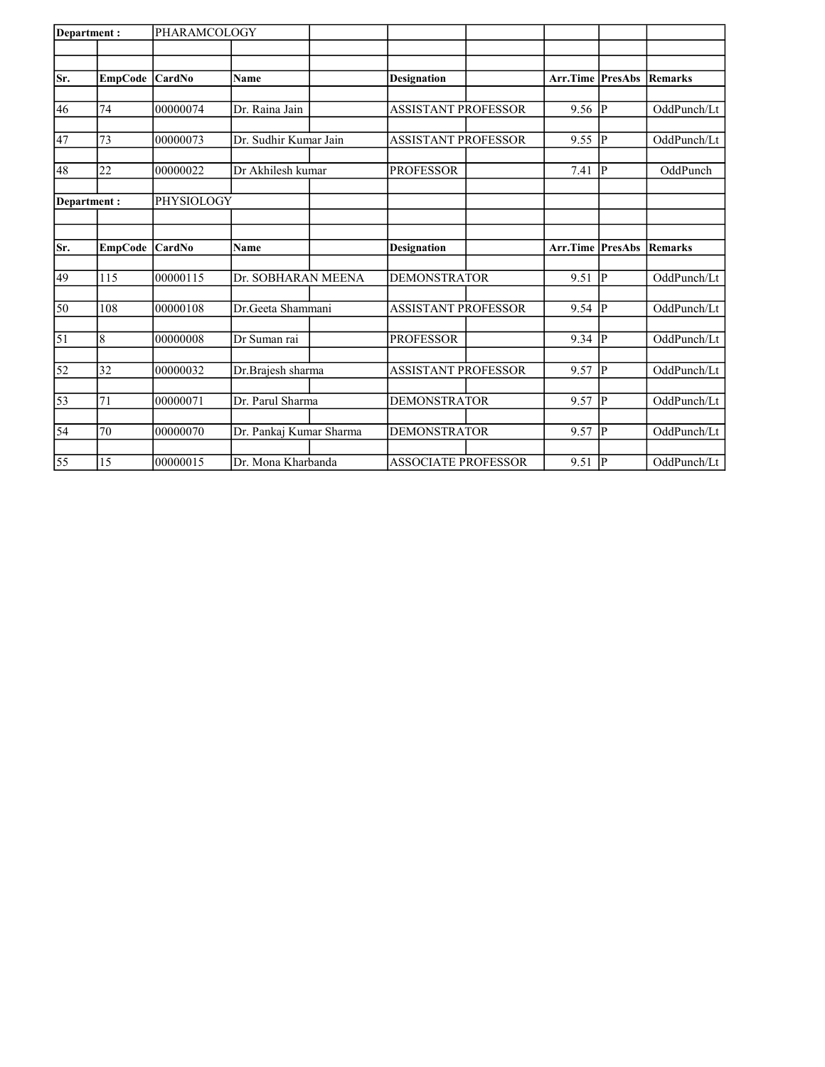| Department: |                | PHARAMCOLOGY |                         |                            |                         |             |                |
|-------------|----------------|--------------|-------------------------|----------------------------|-------------------------|-------------|----------------|
|             |                |              |                         |                            |                         |             |                |
| Sr.         | <b>EmpCode</b> | CardNo       | Name                    | <b>Designation</b>         | <b>Arr.Time PresAbs</b> |             | <b>Remarks</b> |
| 46          | 74             | 00000074     | Dr. Raina Jain          | <b>ASSISTANT PROFESSOR</b> | 9.56                    | $ {\bf p} $ | OddPunch/Lt    |
|             |                |              |                         |                            |                         |             |                |
| 147         | 73             | 00000073     | Dr. Sudhir Kumar Jain   | <b>ASSISTANT PROFESSOR</b> | 9.55                    | p           | OddPunch/Lt    |
| 48          | 22             | 00000022     | Dr Akhilesh kumar       | <b>PROFESSOR</b>           | 7.41                    | P           | OddPunch       |
|             | Department:    | PHYSIOLOGY   |                         |                            |                         |             |                |
| lSr.        | <b>EmpCode</b> | CardNo       | <b>Name</b>             | <b>Designation</b>         | <b>Arr.Time PresAbs</b> |             | Remarks        |
|             |                |              |                         |                            |                         |             |                |
| 49          | 115            | 00000115     | Dr. SOBHARAN MEENA      | <b>DEMONSTRATOR</b>        | 9.51                    | IР          | OddPunch/Lt    |
| 50          | 108            | 00000108     | Dr. Geeta Shammani      | <b>ASSISTANT PROFESSOR</b> | 9.54                    | P           | OddPunch/Lt    |
| 51          | 8              | 00000008     | Dr Suman rai            | <b>PROFESSOR</b>           | 9.34                    | P           | OddPunch/Lt    |
| 52          | 32             | 00000032     | Dr.Brajesh sharma       | <b>ASSISTANT PROFESSOR</b> | 9.57                    | P           | OddPunch/Lt    |
| 53          | 71             | 00000071     | Dr. Parul Sharma        | <b>DEMONSTRATOR</b>        | 9.57                    | IР          | OddPunch/Lt    |
| 54          | 70             | 00000070     | Dr. Pankaj Kumar Sharma | <b>DEMONSTRATOR</b>        | 9.57                    | lР          | OddPunch/Lt    |
| 55          | 15             | 00000015     | Dr. Mona Kharbanda      | <b>ASSOCIATE PROFESSOR</b> | 9.51                    | P           | OddPunch/Lt    |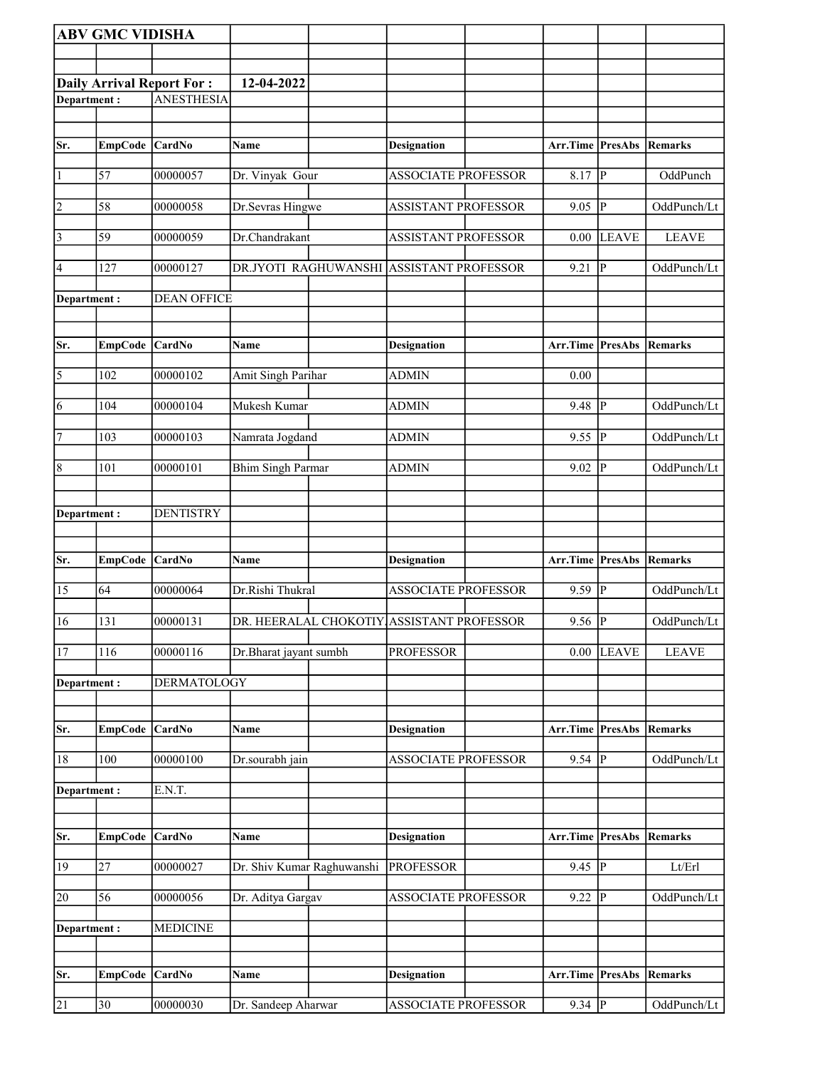|                         | <b>ABV GMC VIDISHA</b> |                                  |                                           |                            |                         |                |                |
|-------------------------|------------------------|----------------------------------|-------------------------------------------|----------------------------|-------------------------|----------------|----------------|
|                         |                        |                                  |                                           |                            |                         |                |                |
|                         |                        | <b>Daily Arrival Report For:</b> | 12-04-2022                                |                            |                         |                |                |
| Department:             |                        | <b>ANESTHESIA</b>                |                                           |                            |                         |                |                |
|                         |                        |                                  |                                           |                            |                         |                |                |
| Sr.                     | EmpCode CardNo         |                                  | Name                                      | <b>Designation</b>         | Arr.Time PresAbs        |                | Remarks        |
| $\vert$                 | 57                     | 00000057                         | Dr. Vinyak Gour                           | <b>ASSOCIATE PROFESSOR</b> | 8.17                    | P              | OddPunch       |
| $\overline{2}$          | 58                     | 00000058                         | Dr.Sevras Hingwe                          | <b>ASSISTANT PROFESSOR</b> | 9.05                    | P              | OddPunch/Lt    |
| $\vert$ 3               | 59                     | 00000059                         | Dr.Chandrakant                            | ASSISTANT PROFESSOR        | $0.00\,$                | <b>LEAVE</b>   | <b>LEAVE</b>   |
| $\vert 4 \vert$         | 127                    | 00000127                         | DR.JYOTI RAGHUWANSHI                      | <b>ASSISTANT PROFESSOR</b> | 9.21                    | P              | OddPunch/Lt    |
| Department:             |                        | <b>DEAN OFFICE</b>               |                                           |                            |                         |                |                |
|                         |                        |                                  |                                           |                            |                         |                |                |
| Sr.                     | EmpCode CardNo         |                                  | <b>Name</b>                               | <b>Designation</b>         | Arr.Time PresAbs        |                | <b>Remarks</b> |
| $\overline{\mathbf{5}}$ | 102                    | 00000102                         | Amit Singh Parihar                        | <b>ADMIN</b>               | 0.00                    |                |                |
| 6                       | 104                    | 00000104                         | Mukesh Kumar                              | <b>ADMIN</b>               | 9.48                    | P              | OddPunch/Lt    |
| 7                       | 103                    | 00000103                         | Namrata Jogdand                           | <b>ADMIN</b>               | 9.55                    | P              | OddPunch/Lt    |
| $\vert 8$               | 101                    | 00000101                         | <b>Bhim Singh Parmar</b>                  | <b>ADMIN</b>               | 9.02                    | ∣P             | OddPunch/Lt    |
|                         |                        |                                  |                                           |                            |                         |                |                |
| Department:             |                        | <b>DENTISTRY</b>                 |                                           |                            |                         |                |                |
| Sr.                     | <b>EmpCode</b>         | <b>CardNo</b>                    | Name                                      | <b>Designation</b>         | <b>Arr.Time PresAbs</b> |                | <b>Remarks</b> |
| 15                      | 64                     | 00000064                         | Dr.Rishi Thukral                          | <b>ASSOCIATE PROFESSOR</b> | 9.59   P                |                | OddPunch/Lt    |
| 16                      | 131                    | 00000131                         | DR. HEERALAL CHOKOTIY ASSISTANT PROFESSOR |                            | $9.56$ P                |                | OddPunch/Lt    |
| 17                      | 116                    | 00000116                         | Dr.Bharat jayant sumbh                    | <b>PROFESSOR</b>           | 0.00                    | <b>LEAVE</b>   | <b>LEAVE</b>   |
| Department:             |                        | <b>DERMATOLOGY</b>               |                                           |                            |                         |                |                |
|                         |                        |                                  |                                           |                            |                         |                |                |
| Sr.                     | <b>EmpCode</b>         | CardNo                           | Name                                      | <b>Designation</b>         | Arr.Time                | <b>PresAbs</b> | <b>Remarks</b> |
| 18                      | 100                    | 00000100                         | Dr.sourabh jain                           | <b>ASSOCIATE PROFESSOR</b> | 9.54                    | $\overline{P}$ | OddPunch/Lt    |
| Department:             |                        | E.N.T.                           |                                           |                            |                         |                |                |
| Sr.                     | EmpCode CardNo         |                                  | Name                                      | <b>Designation</b>         | Arr.Time PresAbs        |                | <b>Remarks</b> |
| 19                      | 27                     | 00000027                         | Dr. Shiv Kumar Raghuwanshi                | <b>PROFESSOR</b>           | $9.45$ P                |                | Lt/Erl         |
| 20                      | 56                     | 00000056                         | Dr. Aditya Gargav                         | ASSOCIATE PROFESSOR        | 9.22                    | P              | OddPunch/Lt    |
| Department:             |                        | <b>MEDICINE</b>                  |                                           |                            |                         |                |                |
|                         |                        |                                  |                                           |                            |                         |                |                |
| Sr.                     | EmpCode CardNo         |                                  | Name                                      | <b>Designation</b>         | Arr.Time PresAbs        |                | <b>Remarks</b> |
| 21                      | 30                     | 00000030                         | Dr. Sandeep Aharwar                       | <b>ASSOCIATE PROFESSOR</b> | $9.34$ P                |                | OddPunch/Lt    |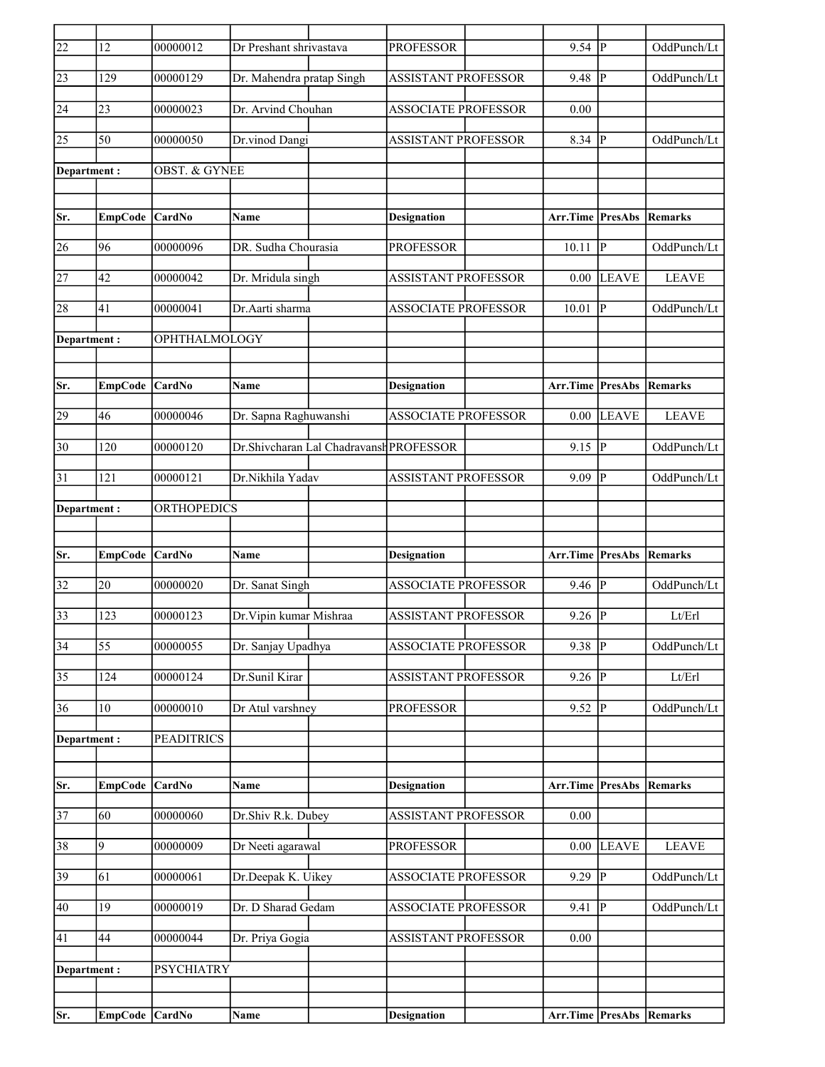| $\overline{22}$ | 12              | 00000012                 | Dr Preshant shrivastava   |                                         | <b>PROFESSOR</b>           | $9.54$ P                        |                        | OddPunch/Lt                |
|-----------------|-----------------|--------------------------|---------------------------|-----------------------------------------|----------------------------|---------------------------------|------------------------|----------------------------|
| 23              | 129             | 00000129                 | Dr. Mahendra pratap Singh |                                         | <b>ASSISTANT PROFESSOR</b> | 9.48                            | $\overline{P}$         | OddPunch/Lt                |
| 24              | 23              | 00000023                 | Dr. Arvind Chouhan        |                                         | <b>ASSOCIATE PROFESSOR</b> | 0.00                            |                        |                            |
| 25              | 50              | 00000050                 | Dr.vinod Dangi            |                                         | <b>ASSISTANT PROFESSOR</b> | 8.34                            | P                      | OddPunch/Lt                |
| Department :    |                 | <b>OBST. &amp; GYNEE</b> |                           |                                         |                            |                                 |                        |                            |
|                 |                 |                          |                           |                                         |                            |                                 |                        |                            |
| Sr.             | <b>EmpCode</b>  | <b>CardNo</b>            | Name                      |                                         | <b>Designation</b>         | <b>Arr.Time PresAbs Remarks</b> |                        |                            |
| 26              | 96              | 00000096                 | DR. Sudha Chourasia       |                                         | <b>PROFESSOR</b>           | 10.11                           | $\overline{P}$         | OddPunch/Lt                |
| 27              | 42              | 00000042                 | Dr. Mridula singh         |                                         | <b>ASSISTANT PROFESSOR</b> | 0.00                            | <b>LEAVE</b>           | <b>LEAVE</b>               |
| 28              | 41              | 00000041                 | Dr.Aarti sharma           |                                         | <b>ASSOCIATE PROFESSOR</b> | 10.01                           | P                      | OddPunch/Lt                |
| Department:     |                 | OPHTHALMOLOGY            |                           |                                         |                            |                                 |                        |                            |
|                 |                 |                          |                           |                                         |                            |                                 |                        |                            |
| Sr.             | <b>EmpCode</b>  | CardNo                   | Name                      |                                         | <b>Designation</b>         | <b>Arr.Time PresAbs</b>         |                        | Remarks                    |
| 29              | 46              | 00000046                 | Dr. Sapna Raghuwanshi     |                                         | <b>ASSOCIATE PROFESSOR</b> | 0.00                            | <b>LEAVE</b>           | <b>LEAVE</b>               |
| 30              | 120             | 00000120                 |                           | Dr.Shivcharan Lal Chadravansh PROFESSOR |                            | 9.15                            | $\overline{P}$         | OddPunch/Lt                |
| $\overline{31}$ | 121             | 00000121                 | Dr.Nikhila Yadav          |                                         | <b>ASSISTANT PROFESSOR</b> | 9.09                            | P                      | OddPunch/Lt                |
| Department:     |                 | <b>ORTHOPEDICS</b>       |                           |                                         |                            |                                 |                        |                            |
|                 |                 |                          |                           |                                         |                            |                                 |                        |                            |
| Sr.             | EmpCode         | <b>CardNo</b>            | Name                      |                                         | <b>Designation</b>         | Arr.Time PresAbs                |                        | Remarks                    |
| 32              | 20              | 00000020                 | Dr. Sanat Singh           |                                         | <b>ASSOCIATE PROFESSOR</b> | 9.46                            | P                      | OddPunch/Lt                |
| 33              | 123             | 00000123                 | Dr. Vipin kumar Mishraa   |                                         | <b>ASSISTANT PROFESSOR</b> | 9.26                            | $\overline{P}$         | Lt/Erl                     |
| $\overline{34}$ | $\overline{55}$ | 00000055                 | Dr. Sanjay Upadhya        |                                         | <b>ASSOCIATE PROFESSOR</b> | $9.38$ P                        |                        | OddPunch/Lt                |
| 35              | 124             | 00000124                 | Dr.Sunil Kirar            |                                         | ASSISTANT PROFESSOR        | 9.26                            | P                      | $\mathbf{Lt}/\mathbf{Erl}$ |
| 36              | $10\,$          | 00000010                 | Dr Atul varshney          |                                         | <b>PROFESSOR</b>           | 9.52                            | ∣P                     | OddPunch/Lt                |
| Department:     |                 | <b>PEADITRICS</b>        |                           |                                         |                            |                                 |                        |                            |
|                 |                 |                          |                           |                                         |                            |                                 |                        |                            |
| Sr.             | <b>EmpCode</b>  | CardNo                   | Name                      |                                         | <b>Designation</b>         | Arr.Time                        | <b>PresAbs Remarks</b> |                            |
| $\overline{37}$ | 60              | 00000060                 | Dr.Shiv R.k. Dubey        |                                         | ASSISTANT PROFESSOR        | $0.00\,$                        |                        |                            |
| 38              | 9               | 00000009                 | Dr Neeti agarawal         |                                         | <b>PROFESSOR</b>           | 0.00                            | <b>LEAVE</b>           | <b>LEAVE</b>               |
| 39              | 61              | 00000061                 | Dr.Deepak K. Uikey        |                                         | ASSOCIATE PROFESSOR        | $9.29$ P                        |                        | OddPunch/Lt                |
| 40              |                 |                          |                           |                                         | <b>ASSOCIATE PROFESSOR</b> | 9.41                            | $\mathbf P$            | OddPunch/Lt                |
|                 | 19              | 00000019                 | Dr. D Sharad Gedam        |                                         |                            |                                 |                        |                            |
|                 |                 |                          |                           |                                         |                            |                                 |                        |                            |
| 41              | 44              | 00000044                 | Dr. Priya Gogia           |                                         | <b>ASSISTANT PROFESSOR</b> | 0.00                            |                        |                            |
| Department:     |                 | <b>PSYCHIATRY</b>        |                           |                                         |                            |                                 |                        |                            |
| Sr.             | EmpCode CardNo  |                          | <b>Name</b>               |                                         | <b>Designation</b>         | Arr.Time PresAbs Remarks        |                        |                            |